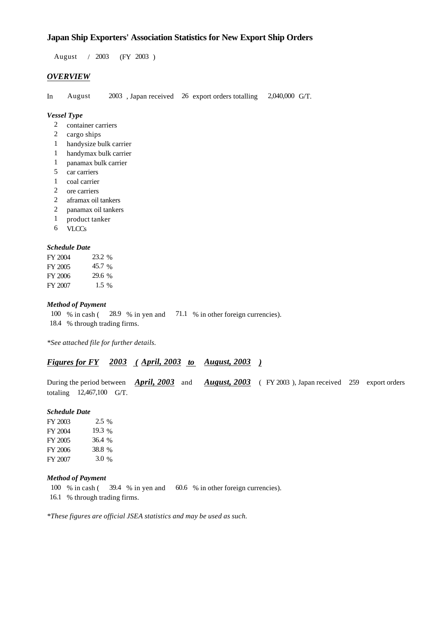# **Japan Ship Exporters' Association Statistics for New Export Ship Orders**

 $/ 2003$  (FY 2003) August / 2003

## *OVERVIEW*

In August 2003, Japan received 26 export orders totalling 2,040,000 G/T.

## *Vessel Type*

- container carriers 2
- 2 cargo ships
- handysize bulk carrier 1
- handymax bulk carrier 1
- panamax bulk carrier 1
- 5 car carriers
- 1 coal carrier
- ore carriers 2
- aframax oil tankers 2
- panamax oil tankers 2
- product tanker 1
- VLCCs 6

### *Schedule Date*

| FY 2004 | 23.2 %  |
|---------|---------|
| FY 2005 | 45.7 %  |
| FY 2006 | 29.6 %  |
| FY 2007 | $1.5\%$ |

## *Method of Payment*

% in cash ( $\frac{28.9}{8}$  in yen and  $\frac{71.1}{8}$  % in other foreign currencies). 18.4 % through trading firms.  $100\%$  in cash (

*\*See attached file for further details.*

## *<u>Figures for FY 2003 (April, 2003 to August, 2003)</u>*

During the period between *April, 2003* and *August, 2003* (FY 2003), Japan received 259 export orders totaling  $12,467,100$  G/T.

#### *Schedule Date*

FY 2003 FY 2004 FY 2005 FY 2006 FY 2007 3.0 % 36.4 38.8 19.3 % 2.5 %

#### *Method of Payment*

- 100 % in cash (39.4 % in yen and 60.6 % in other foreign currencies).
- 16.1 % through trading firms.

*\*These figures are official JSEA statistics and may be used as such.*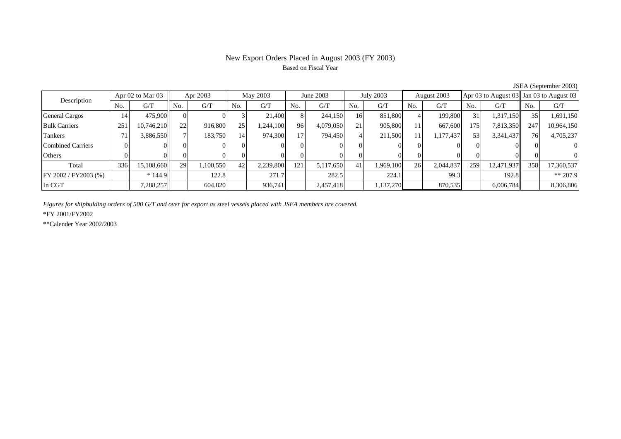# New Export Orders Placed in August 2003 (FY 2003) Based on Fiscal Year

| Apr $02$ to Mar $03$<br>Description |                |            | Apr 2003 |           | May 2003        |           | June 2003       |           | July 2003 |          | August 2003 |           |     |            | Apr 03 to August 03 Jan 03 to August 03 |            |
|-------------------------------------|----------------|------------|----------|-----------|-----------------|-----------|-----------------|-----------|-----------|----------|-------------|-----------|-----|------------|-----------------------------------------|------------|
|                                     | N <sub>o</sub> | G/T        | No.      | G/T       | No.             | G/T       | N <sub>0</sub>  | G/T       | No.       | G/T      | No.         | G/T       | No. | G/T        | No.                                     | G/T        |
| <b>General Cargos</b>               | 14             | 475,900    |          |           |                 | 21,400    | 8               | 244,150   | 16        | 851,800  |             | 199,800   | 31  | 1,317,150  | 35                                      | 1,691,150  |
| <b>Bulk Carriers</b>                | 251            | 10,746,210 | 22       | 916,800   | 25              | ,244,100  | 96              | 4,079,050 | 21        | 905,800  | 11          | 667,600   | 175 | 7,813,350  | 247                                     | 10,964,150 |
| Tankers                             | 71             | 3,886,550  |          | 183,750   | 14 <sub>1</sub> | 974,300   | 17 <sub>1</sub> | 794,450   |           | 211,500  | 111         | 1,177,437 | 53  | 3,341,437  | 76                                      | 4,705,237  |
| Combined Carriers                   |                |            |          |           | $^{\prime}$     |           |                 |           |           |          |             |           |     |            |                                         |            |
| Others                              |                |            |          |           |                 |           |                 |           |           |          |             |           |     |            |                                         |            |
| Total                               | 336            | 15,108,660 | 29       | 1,100,550 | 42              | 2,239,800 | 121             | 5,117,650 |           | .969,100 | 26          | 2,044,837 | 259 | 12,471,937 | 358                                     | 17,360,537 |
| FY 2002 / FY2003 (%)                |                | $*144.9$   |          | 122.8     |                 | 271.7     |                 | 282.5     |           | 224.1    |             | 99.3      |     | 192.8      |                                         | $** 207.9$ |
| In CGT                              |                | 7,288,257  |          | 604,820   |                 | 936.741   |                 | 2,457,418 |           | ,137,270 |             | 870,535   |     | 6,006,784  |                                         | 8,306,806  |

JSEA (September 2003)

*Figures for shipbulding orders of 500 G/T and over for export as steel vessels placed with JSEA members are covered.*

\*FY 2001/FY2002

\*\*Calender Year 2002/2003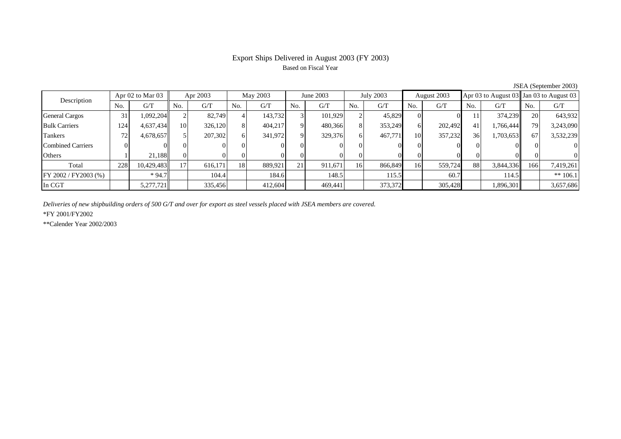# Export Ships Delivered in August 2003 (FY 2003) Based on Fiscal Year

| $50.111$ (Depression 2005) |                      |            |          |         |          |         |                 |         |           |         |             |         |     |           |                                         |            |
|----------------------------|----------------------|------------|----------|---------|----------|---------|-----------------|---------|-----------|---------|-------------|---------|-----|-----------|-----------------------------------------|------------|
| Description                | Apr $02$ to Mar $03$ |            | Apr 2003 |         | May 2003 |         | June 2003       |         | July 2003 |         | August 2003 |         |     |           | Apr 03 to August 03 Jan 03 to August 03 |            |
|                            | N <sub>o</sub>       | G/T        | No.      | G/T     | No.      | G/T     | No.             | G/T     | No.       | G/T     | No.         | G/T     | No. | G/T       | No.                                     | G/T        |
| <b>General Cargos</b>      | 31                   | 1,092,204  |          | 82.749  |          | 143,732 |                 | 101.929 |           | 45,829  |             |         | 11  | 374,239   | 20                                      | 643,932    |
| <b>Bulk Carriers</b>       | 124                  | 4,637,434  | 10       | 326,120 |          | 404,217 | $\Omega$        | 480,366 | 81        | 353,249 | 61          | 202,492 | 41  | 1,766,444 | 79                                      | 3,243,090  |
| Tankers                    | 72                   | 4,678,657  |          | 207,302 | 61       | 341,972 | $\overline{Q}$  | 329,376 | 61        | 467,771 | 10          | 357,232 | 36  | 1,703,653 | 67                                      | 3,532,239  |
| <b>Combined Carriers</b>   |                      |            |          |         |          |         |                 |         |           |         |             |         |     |           |                                         |            |
| Others                     |                      | 21.188     |          |         |          |         |                 |         | $_{0}$    |         |             |         |     |           |                                         |            |
| Total                      | 228                  | 10,429,483 | 17       | 616.171 | 18       | 889,921 | 21 <sub>1</sub> | 911,671 | 16        | 866,849 | 16          | 559,724 | 88  | 3,844,336 | 166                                     | 7,419,261  |
| FY 2002 / FY2003 (%)       |                      | $*94.7$    |          | 104.4   |          | 184.6   |                 | 148.5   |           | 115.5   |             | 60.7    |     | 114.5     |                                         | ** $106.1$ |
| In CGT                     |                      | 5,277,721  |          | 335,456 |          | 412,604 |                 | 469.441 |           | 373,372 |             | 305,428 |     | 1,896,301 |                                         | 3,657,686  |

JSEA (September 2003)

*Deliveries of new shipbuilding orders of 500 G/T and over for export as steel vessels placed with JSEA members are covered.*

\*FY 2001/FY2002

\*\*Calender Year 2002/2003